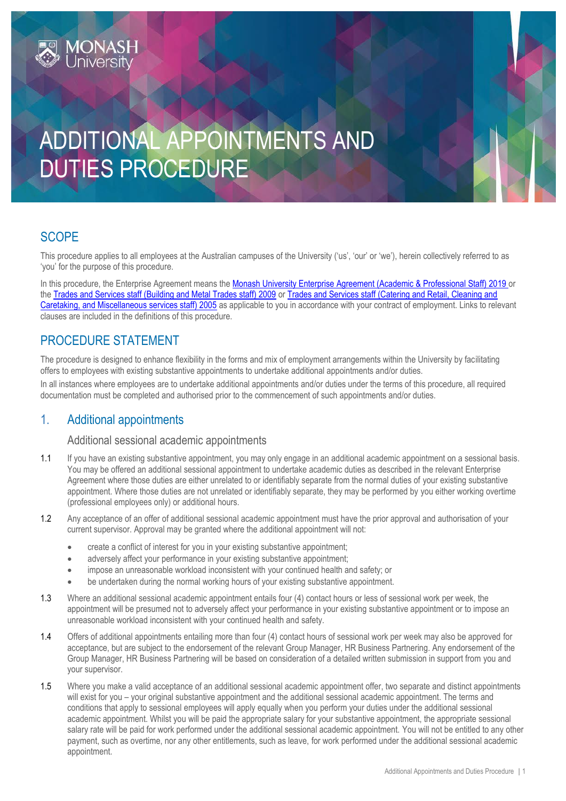# ADDITIONAL APPOINTMENTS AND DUTIES PROCEDURE

## **SCOPE**

This procedure applies to all employees at the Australian campuses of the University ('us', 'our' or 'we'), herein collectively referred to as 'you' for the purpose of this procedure.

In this procedure, the Enterprise Agreement means the [Monash University Enterprise Agreement \(Academic & Professional Staff\) 2019](https://www.monash.edu/current-enterprise-agreements/academic-professional-2019) or the [Trades and Services staff \(Building and Metal Trades staff\) 2009](https://www.monash.edu/current-enterprise-agreements/trades-services-bmt-2009) or [Trades and Services staff \(Catering and Retail, Cleaning and](https://www.monash.edu/current-enterprise-agreements/trades-services-crccm-2005)  [Caretaking, and Miscellaneous services staff\) 2005](https://www.monash.edu/current-enterprise-agreements/trades-services-crccm-2005) as applicable to you in accordance with your contract of employment. Links to relevant clauses are included in the definitions of this procedure.

## PROCEDURE STATEMENT

**MONASH**<br>University

The procedure is designed to enhance flexibility in the forms and mix of employment arrangements within the University by facilitating offers to employees with existing substantive appointments to undertake additional appointments and/or duties.

In all instances where employees are to undertake additional appointments and/or duties under the terms of this procedure, all required documentation must be completed and authorised prior to the commencement of such appointments and/or duties.

## 1. Additional appointments

#### Additional sessional academic appointments

- 1.1 If you have an existing substantive appointment, you may only engage in an additional academic appointment on a sessional basis. You may be offered an additional sessional appointment to undertake academic duties as described in the relevant Enterprise Agreement where those duties are either unrelated to or identifiably separate from the normal duties of your existing substantive appointment. Where those duties are not unrelated or identifiably separate, they may be performed by you either working overtime (professional employees only) or additional hours.
- 1.2 Any acceptance of an offer of additional sessional academic appointment must have the prior approval and authorisation of your current supervisor. Approval may be granted where the additional appointment will not:
	- create a conflict of interest for you in your existing substantive appointment;
	- adversely affect your performance in your existing substantive appointment;
	- impose an unreasonable workload inconsistent with your continued health and safety; or
	- be undertaken during the normal working hours of your existing substantive appointment.
- 1.3 Where an additional sessional academic appointment entails four (4) contact hours or less of sessional work per week, the appointment will be presumed not to adversely affect your performance in your existing substantive appointment or to impose an unreasonable workload inconsistent with your continued health and safety.
- 1.4 Offers of additional appointments entailing more than four (4) contact hours of sessional work per week may also be approved for acceptance, but are subject to the endorsement of the relevant Group Manager, HR Business Partnering. Any endorsement of the Group Manager, HR Business Partnering will be based on consideration of a detailed written submission in support from you and your supervisor.
- 1.5 Where you make a valid acceptance of an additional sessional academic appointment offer, two separate and distinct appointments will exist for you – your original substantive appointment and the additional sessional academic appointment. The terms and conditions that apply to sessional employees will apply equally when you perform your duties under the additional sessional academic appointment. Whilst you will be paid the appropriate salary for your substantive appointment, the appropriate sessional salary rate will be paid for work performed under the additional sessional academic appointment. You will not be entitled to any other payment, such as overtime, nor any other entitlements, such as leave, for work performed under the additional sessional academic appointment.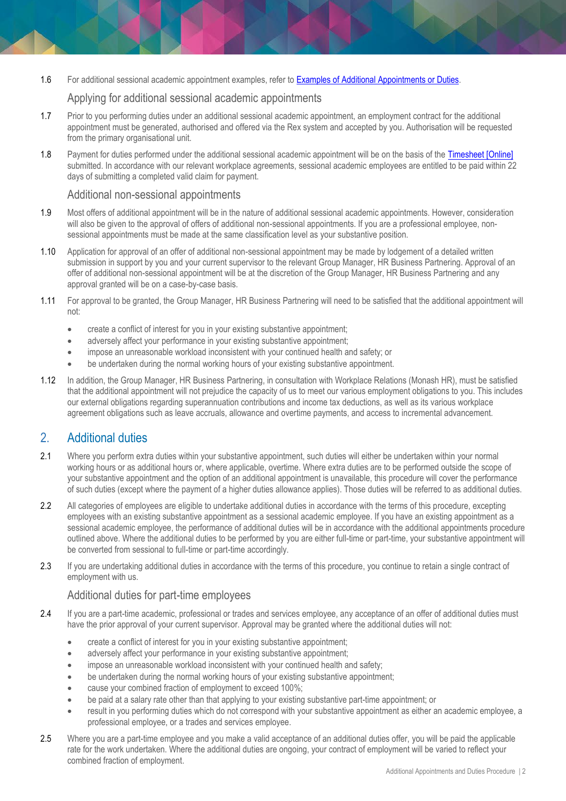1.6 For additional sessional academic appointment examples, refer to [Examples of Additional Appointments or Duties.](https://www.monash.edu/__data/assets/pdf_file/0009/1169235/Additional-Duties-Examples.pdf)

#### Applying for additional sessional academic appointments

- 1.7 Prior to you performing duties under an additional sessional academic appointment, an employment contract for the additional appointment must be generated, authorised and offered via the Rex system and accepted by you. Authorisation will be requested from the primary organisational unit.
- 1.8 Payment for duties performed under the additional sessional academic appointment will be on the basis of the [Timesheet \[Online\]](https://www.monash.edu/eforms-resources/frevvo-forms/hr/timesheets) submitted. In accordance with our relevant workplace agreements, sessional academic employees are entitled to be paid within 22 days of submitting a completed valid claim for payment.

#### Additional non-sessional appointments

- 1.9 Most offers of additional appointment will be in the nature of additional sessional academic appointments. However, consideration will also be given to the approval of offers of additional non-sessional appointments. If you are a professional employee, nonsessional appointments must be made at the same classification level as your substantive position.
- 1.10 Application for approval of an offer of additional non-sessional appointment may be made by lodgement of a detailed written submission in support by you and your current supervisor to the relevant Group Manager, HR Business Partnering. Approval of an offer of additional non-sessional appointment will be at the discretion of the Group Manager, HR Business Partnering and any approval granted will be on a case-by-case basis.
- 1.11 For approval to be granted, the Group Manager, HR Business Partnering will need to be satisfied that the additional appointment will not:
	- create a conflict of interest for you in your existing substantive appointment;
	- adversely affect your performance in your existing substantive appointment;
	- impose an unreasonable workload inconsistent with your continued health and safety; or
	- be undertaken during the normal working hours of your existing substantive appointment.
- 1.12 In addition, the Group Manager, HR Business Partnering, in consultation with Workplace Relations (Monash HR), must be satisfied that the additional appointment will not prejudice the capacity of us to meet our various employment obligations to you. This includes our external obligations regarding superannuation contributions and income tax deductions, as well as its various workplace agreement obligations such as leave accruals, allowance and overtime payments, and access to incremental advancement.

### 2. Additional duties

- 2.1 Where you perform extra duties within your substantive appointment, such duties will either be undertaken within your normal working hours or as additional hours or, where applicable, overtime. Where extra duties are to be performed outside the scope of your substantive appointment and the option of an additional appointment is unavailable, this procedure will cover the performance of such duties (except where the payment of a higher duties allowance applies). Those duties will be referred to as additional duties.
- 2.2 All categories of employees are eligible to undertake additional duties in accordance with the terms of this procedure, excepting employees with an existing substantive appointment as a sessional academic employee. If you have an existing appointment as a sessional academic employee, the performance of additional duties will be in accordance with the additional appointments procedure outlined above. Where the additional duties to be performed by you are either full-time or part-time, your substantive appointment will be converted from sessional to full-time or part-time accordingly.
- 2.3 If you are undertaking additional duties in accordance with the terms of this procedure, you continue to retain a single contract of employment with us.

#### Additional duties for part-time employees

- 2.4 If you are a part-time academic, professional or trades and services employee, any acceptance of an offer of additional duties must have the prior approval of your current supervisor. Approval may be granted where the additional duties will not:
	- create a conflict of interest for you in your existing substantive appointment;
	- adversely affect your performance in your existing substantive appointment;
	- impose an unreasonable workload inconsistent with your continued health and safety;
	- be undertaken during the normal working hours of your existing substantive appointment;
	- cause your combined fraction of employment to exceed 100%;
	- be paid at a salary rate other than that applying to your existing substantive part-time appointment; or
	- result in you performing duties which do not correspond with your substantive appointment as either an academic employee, a professional employee, or a trades and services employee.
- 2.5 Where you are a part-time employee and you make a valid acceptance of an additional duties offer, you will be paid the applicable rate for the work undertaken. Where the additional duties are ongoing, your contract of employment will be varied to reflect your combined fraction of employment.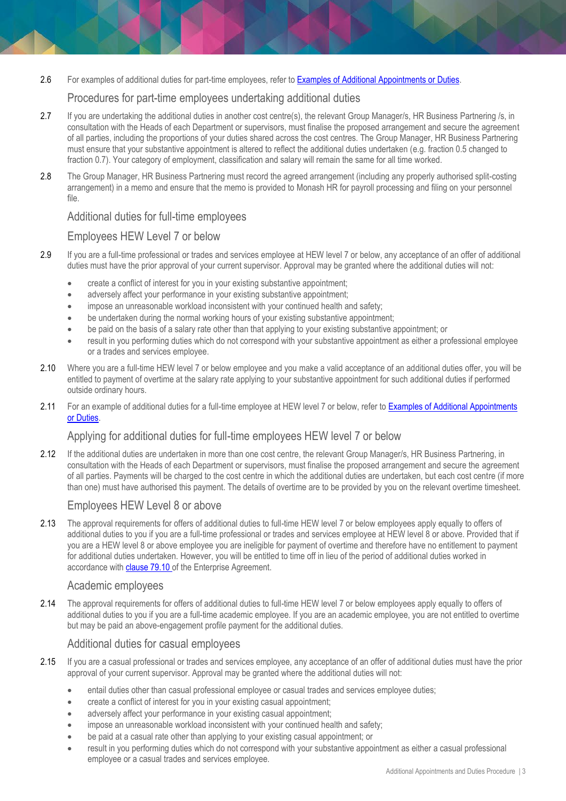2.6 For examples of additional duties for part-time employees, refer to [Examples of Additional Appointments or Duties.](https://www.monash.edu/__data/assets/pdf_file/0009/1169235/Additional-Duties-Examples.pdf)

#### Procedures for part-time employees undertaking additional duties

- 2.7 If you are undertaking the additional duties in another cost centre(s), the relevant Group Manager/s, HR Business Partnering /s, in consultation with the Heads of each Department or supervisors, must finalise the proposed arrangement and secure the agreement of all parties, including the proportions of your duties shared across the cost centres. The Group Manager, HR Business Partnering must ensure that your substantive appointment is altered to reflect the additional duties undertaken (e.g. fraction 0.5 changed to fraction 0.7). Your category of employment, classification and salary will remain the same for all time worked.
- 2.8 The Group Manager, HR Business Partnering must record the agreed arrangement (including any properly authorised split-costing arrangement) in a memo and ensure that the memo is provided to Monash HR for payroll processing and filing on your personnel file.

#### Additional duties for full-time employees

#### Employees HEW Level 7 or below

- 2.9 If you are a full-time professional or trades and services employee at HEW level 7 or below, any acceptance of an offer of additional duties must have the prior approval of your current supervisor. Approval may be granted where the additional duties will not:
	- create a conflict of interest for you in your existing substantive appointment;
	- adversely affect your performance in your existing substantive appointment;
	- impose an unreasonable workload inconsistent with your continued health and safety;
	- be undertaken during the normal working hours of your existing substantive appointment;
	- be paid on the basis of a salary rate other than that applying to your existing substantive appointment; or
	- result in you performing duties which do not correspond with your substantive appointment as either a professional employee or a trades and services employee.
- 2.10 Where you are a full-time HEW level 7 or below employee and you make a valid acceptance of an additional duties offer, you will be entitled to payment of overtime at the salary rate applying to your substantive appointment for such additional duties if performed outside ordinary hours.
- 2.11 For an example of additional duties for a full-time employee at HEW level 7 or below, refer to Examples of Additional Appointments [or Duties.](https://www.monash.edu/__data/assets/pdf_file/0009/1169235/Additional-Duties-Examples.pdf)

#### Applying for additional duties for full-time employees HEW level 7 or below

2.12 If the additional duties are undertaken in more than one cost centre, the relevant Group Manager/s, HR Business Partnering, in consultation with the Heads of each Department or supervisors, must finalise the proposed arrangement and secure the agreement of all parties. Payments will be charged to the cost centre in which the additional duties are undertaken, but each cost centre (if more than one) must have authorised this payment. The details of overtime are to be provided by you on the relevant overtime timesheet.

#### Employees HEW Level 8 or above

2.13 The approval requirements for offers of additional duties to full-time HEW level 7 or below employees apply equally to offers of additional duties to you if you are a full-time professional or trades and services employee at HEW level 8 or above. Provided that if you are a HEW level 8 or above employee you are ineligible for payment of overtime and therefore have no entitlement to payment for additional duties undertaken. However, you will be entitled to time off in lieu of the period of additional duties worked in accordance with **[clause 79.10](https://www.monash.edu/current-enterprise-agreements/academic-professional-2019#79)** of the Enterprise Agreement.

#### Academic employees

2.14 The approval requirements for offers of additional duties to full-time HEW level 7 or below employees apply equally to offers of additional duties to you if you are a full-time academic employee. If you are an academic employee, you are not entitled to overtime but may be paid an above-engagement profile payment for the additional duties.

#### Additional duties for casual employees

- 2.15 If you are a casual professional or trades and services employee, any acceptance of an offer of additional duties must have the prior approval of your current supervisor. Approval may be granted where the additional duties will not:
	- entail duties other than casual professional employee or casual trades and services employee duties;
	- create a conflict of interest for you in your existing casual appointment;
	- adversely affect your performance in your existing casual appointment;
	- impose an unreasonable workload inconsistent with your continued health and safety;
	- be paid at a casual rate other than applying to your existing casual appointment; or
	- result in you performing duties which do not correspond with your substantive appointment as either a casual professional employee or a casual trades and services employee.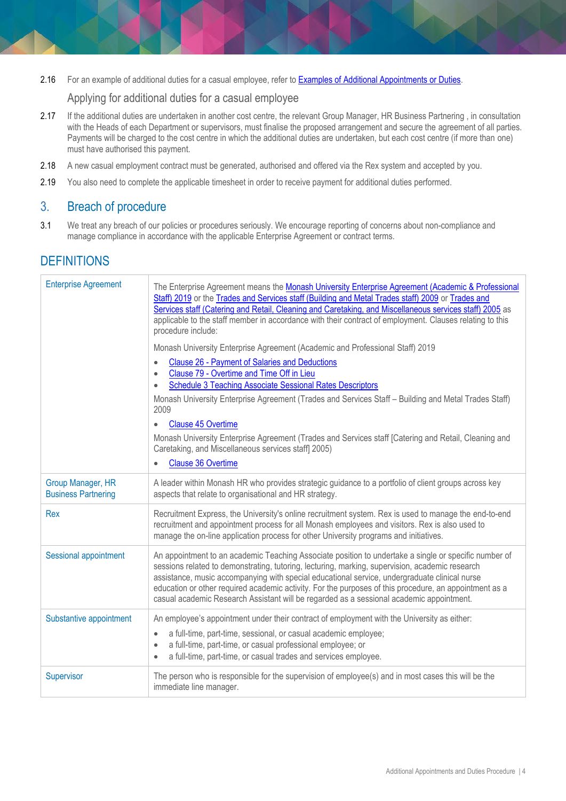2.16 For an example of additional duties for a casual employee, refer to [Examples of Additional Appointments or Duties.](https://www.monash.edu/__data/assets/pdf_file/0009/1169235/Additional-Duties-Examples.pdf)

#### Applying for additional duties for a casual employee

- 2.17 If the additional duties are undertaken in another cost centre, the relevant Group Manager, HR Business Partnering, in consultation with the Heads of each Department or supervisors, must finalise the proposed arrangement and secure the agreement of all parties. Payments will be charged to the cost centre in which the additional duties are undertaken, but each cost centre (if more than one) must have authorised this payment.
- 2.18 A new casual employment contract must be generated, authorised and offered via the Rex system and accepted by you.
- 2.19 You also need to complete the applicable timesheet in order to receive payment for additional duties performed.

#### 3. Breach of procedure

3.1 We treat any breach of our policies or procedures seriously. We encourage reporting of concerns about non-compliance and manage compliance in accordance with the applicable Enterprise Agreement or contract terms.

## **DEFINITIONS**

| <b>Enterprise Agreement</b>                     | The Enterprise Agreement means the Monash University Enterprise Agreement (Academic & Professional<br>Staff) 2019 or the Trades and Services staff (Building and Metal Trades staff) 2009 or Trades and<br>Services staff (Catering and Retail, Cleaning and Caretaking, and Miscellaneous services staff) 2005 as<br>applicable to the staff member in accordance with their contract of employment. Clauses relating to this<br>procedure include:                                                            |
|-------------------------------------------------|-----------------------------------------------------------------------------------------------------------------------------------------------------------------------------------------------------------------------------------------------------------------------------------------------------------------------------------------------------------------------------------------------------------------------------------------------------------------------------------------------------------------|
|                                                 | Monash University Enterprise Agreement (Academic and Professional Staff) 2019<br><b>Clause 26 - Payment of Salaries and Deductions</b><br>$\bullet$<br>Clause 79 - Overtime and Time Off in Lieu<br>$\bullet$<br><b>Schedule 3 Teaching Associate Sessional Rates Descriptors</b><br>$\bullet$<br>Monash University Enterprise Agreement (Trades and Services Staff - Building and Metal Trades Staff)<br>2009                                                                                                  |
|                                                 | <b>Clause 45 Overtime</b><br>$\bullet$<br>Monash University Enterprise Agreement (Trades and Services staff [Catering and Retail, Cleaning and<br>Caretaking, and Miscellaneous services staff] 2005)<br><b>Clause 36 Overtime</b><br>$\bullet$                                                                                                                                                                                                                                                                 |
| Group Manager, HR<br><b>Business Partnering</b> | A leader within Monash HR who provides strategic guidance to a portfolio of client groups across key<br>aspects that relate to organisational and HR strategy.                                                                                                                                                                                                                                                                                                                                                  |
| Rex                                             | Recruitment Express, the University's online recruitment system. Rex is used to manage the end-to-end<br>recruitment and appointment process for all Monash employees and visitors. Rex is also used to<br>manage the on-line application process for other University programs and initiatives.                                                                                                                                                                                                                |
| Sessional appointment                           | An appointment to an academic Teaching Associate position to undertake a single or specific number of<br>sessions related to demonstrating, tutoring, lecturing, marking, supervision, academic research<br>assistance, music accompanying with special educational service, undergraduate clinical nurse<br>education or other required academic activity. For the purposes of this procedure, an appointment as a<br>casual academic Research Assistant will be regarded as a sessional academic appointment. |
| Substantive appointment                         | An employee's appointment under their contract of employment with the University as either:<br>a full-time, part-time, sessional, or casual academic employee;<br>$\bullet$<br>a full-time, part-time, or casual professional employee; or<br>$\bullet$<br>a full-time, part-time, or casual trades and services employee.<br>$\bullet$                                                                                                                                                                         |
| Supervisor                                      | The person who is responsible for the supervision of employee(s) and in most cases this will be the<br>immediate line manager.                                                                                                                                                                                                                                                                                                                                                                                  |